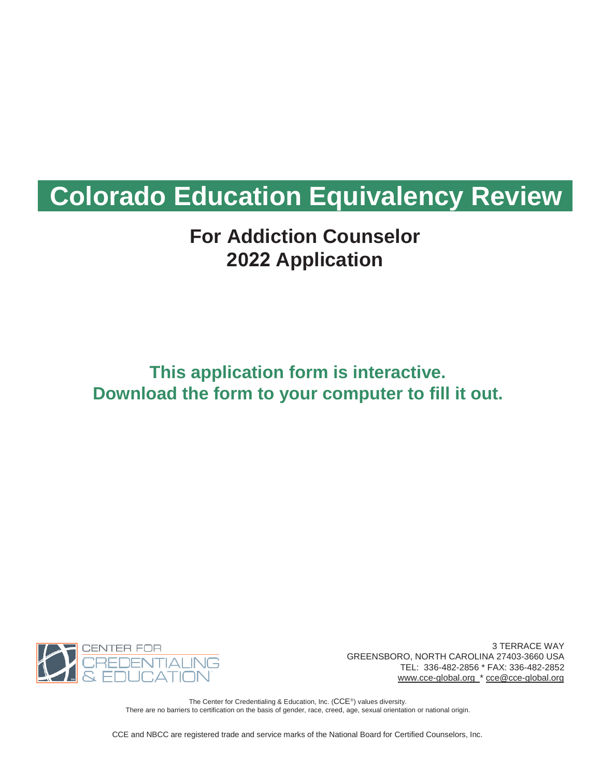# **Colorado Education Equivalency Review**

## **For Addiction Counselor 2022 Application**

## **This application form is interactive. Download the form to your computer to fill it out.**



3 TERRACE WAY GREENSBORO, NORTH CAROLINA 27403-3660 USA TEL: 336-482-2856 \* FAX: 336-482-2852 [www.cce-global.org](http://www.cce-global.org/) \* [cce@cce-global.org](mailto:cce@cce-global.org)

The Center for Credentialing & Education, Inc. (CCE®) values diversity. There are no barriers to certification on the basis of gender, race, creed, age, sexual orientation or national origin.

CCE and NBCC are registered trade and service marks of the National Board for Certified Counselors, Inc.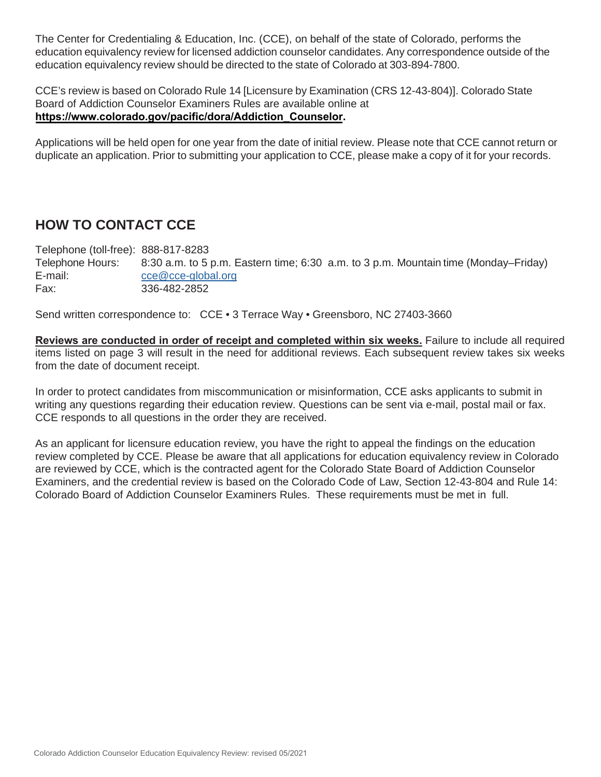The Center for Credentialing & Education, Inc. (CCE), on behalf of the state of Colorado, performs the education equivalency review for licensed addiction counselor candidates. Any correspondence outside of the education equivalency review should be directed to the state of Colorado at 303-894-7800.

CCE's review is based on Colorado Rule 14 [Licensure by Examination (CRS 12-43-804)]. Colorado State Board of Addiction Counselor Examiners Rules are available online at **[https://www.colorado.gov/pacific/dora/Addiction\\_Counselor](https://www.colorado.gov/pacific/dora/Addiction_Counselor).** 

Applications will be held open for one year from the date of initial review. Please note that CCE cannot return or duplicate an application. Prior to submitting your application to CCE, please make a copy of it for your records.

### **HOW TO CONTACT CCE**

Telephone (toll-free): 888-817-8283 Telephone Hours: 8:30 a.m. to 5 p.m. Eastern time; 6:30 a.m. to 3 p.m. Mountain time (Monday–Friday) E-mail: [cce@cce-global.org](mailto:cce@cce-global.org) Fax: 336-482-2852

Send written correspondence to: CCE • 3 Terrace Way • Greensboro, NC 27403-3660

**Reviews are conducted in order of receipt and completed within six weeks.** Failure to include all required items listed on page 3 will result in the need for additional reviews. Each subsequent review takes six weeks from the date of document receipt.

In order to protect candidates from miscommunication or misinformation, CCE asks applicants to submit in writing any questions regarding their education review. Questions can be sent via e-mail, postal mail or fax. CCE responds to all questions in the order they are received.

As an applicant for licensure education review, you have the right to appeal the findings on the education review completed by CCE. Please be aware that all applications for education equivalency review in Colorado are reviewed by CCE, which is the contracted agent for the Colorado State Board of Addiction Counselor Examiners, and the credential review is based on the Colorado Code of Law, Section 12-43-804 and Rule 14: Colorado Board of Addiction Counselor Examiners Rules. These requirements must be met in full.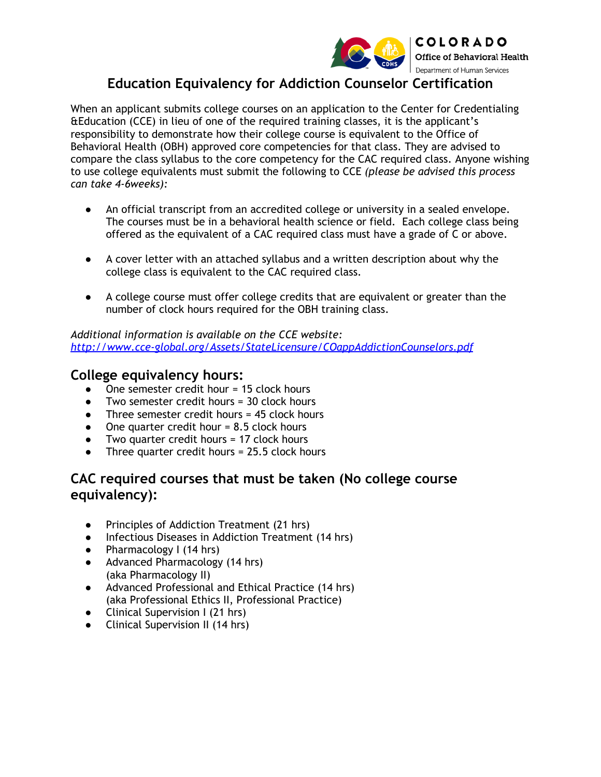

### **Education Equivalency for Addiction Counselor Certification**

When an applicant submits college courses on an application to the Center for Credentialing &Education (CCE) in lieu of one of the required training classes, it is the applicant's responsibility to demonstrate how their college course is equivalent to the Office of Behavioral Health (OBH) approved core competencies for that class. They are advised to compare the class syllabus to the core competency for the CAC required class. Anyone wishing to use college equivalents must submit the following to CCE *(please be advised this process can take 4-6weeks):*

- An official transcript from an accredited college or university in a sealed envelope. The courses must be in a behavioral health science or field. Each college class being offered as the equivalent of a CAC required class must have a grade of C or above.
- A cover letter with an attached syllabus and a written description about why the college class is equivalent to the CAC required class.
- A college course must offer college credits that are equivalent or greater than the number of clock hours required for the OBH training class.

*Additional information is available on the CCE website: <http://www.cce-global.org/Assets/StateLicensure/COappAddictionCounselors.pdf>*

#### **College equivalency hours:**

- One semester credit hour = 15 clock hours
- Two semester credit hours  $=$  30 clock hours
- Three semester credit hours = 45 clock hours
- $\bullet$  One quarter credit hour = 8.5 clock hours
- Two quarter credit hours = 17 clock hours
- Three quarter credit hours =  $25.5$  clock hours

#### **CAC required courses that must be taken (No college course equivalency):**

- *●* Principles of Addiction Treatment (21 hrs)
- *●* Infectious Diseases in Addiction Treatment (14 hrs)
- *●* Pharmacology I (14 hrs)
- *●* Advanced Pharmacology (14 hrs) (aka Pharmacology II)
- *●* Advanced Professional and Ethical Practice (14 hrs) (aka Professional Ethics II, Professional Practice)
- *●* Clinical Supervision I (21 hrs)
- *●* Clinical Supervision II (14 hrs)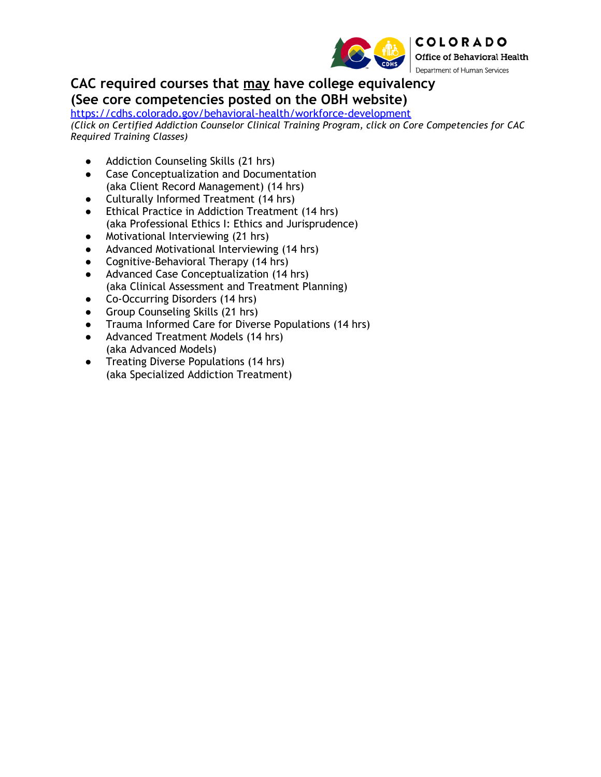

**CAC required courses that may have college equivalency (See core competencies posted on the OBH website)**

<https://cdhs.colorado.gov/behavioral-health/workforce-development> *(Click on Certified Addiction Counselor Clinical Training Program, click on Core Competencies for CAC Required Training Classes)*

- Addiction Counseling Skills (21 hrs)
- Case Conceptualization and Documentation (aka Client Record Management) (14 hrs)
- Culturally Informed Treatment (14 hrs)
- Ethical Practice in Addiction Treatment (14 hrs) (aka Professional Ethics I: Ethics and Jurisprudence)
- Motivational Interviewing (21 hrs)
- Advanced Motivational Interviewing (14 hrs)
- Cognitive-Behavioral Therapy (14 hrs)
- Advanced Case Conceptualization (14 hrs) (aka Clinical Assessment and Treatment Planning)
- Co-Occurring Disorders (14 hrs)
- Group Counseling Skills (21 hrs)
- Trauma Informed Care for Diverse Populations (14 hrs)
- Advanced Treatment Models (14 hrs) (aka Advanced Models)
- Treating Diverse Populations (14 hrs) (aka Specialized Addiction Treatment)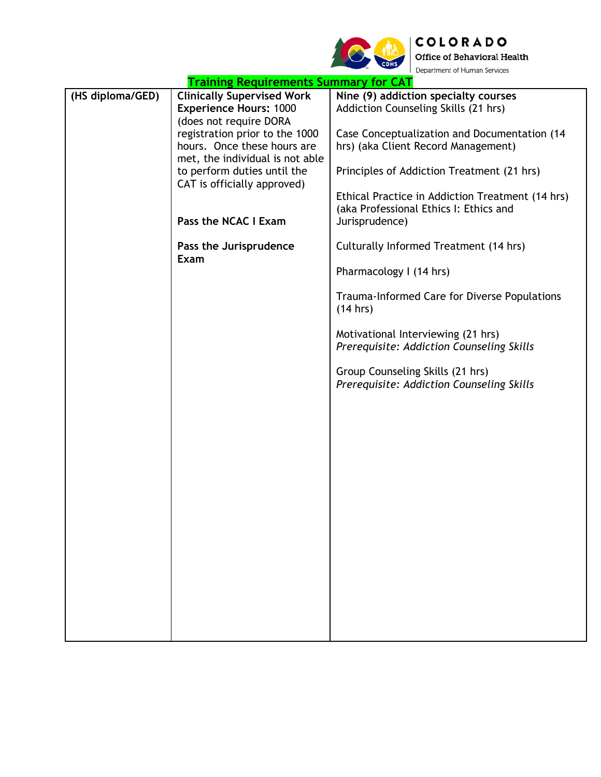

|                  | <b>Training Requirements Summary for CAT</b>                                                  | <b>Example to the first contract of vice.</b>                                                                |
|------------------|-----------------------------------------------------------------------------------------------|--------------------------------------------------------------------------------------------------------------|
| (HS diploma/GED) | <b>Clinically Supervised Work</b><br><b>Experience Hours: 1000</b>                            | Nine (9) addiction specialty courses<br>Addiction Counseling Skills (21 hrs)                                 |
|                  | (does not require DORA<br>registration prior to the 1000<br>hours. Once these hours are       | Case Conceptualization and Documentation (14<br>hrs) (aka Client Record Management)                          |
|                  | met, the individual is not able<br>to perform duties until the<br>CAT is officially approved) | Principles of Addiction Treatment (21 hrs)                                                                   |
|                  | Pass the NCAC I Exam                                                                          | Ethical Practice in Addiction Treatment (14 hrs)<br>(aka Professional Ethics I: Ethics and<br>Jurisprudence) |
|                  |                                                                                               |                                                                                                              |
|                  | Pass the Jurisprudence<br>Exam                                                                | Culturally Informed Treatment (14 hrs)                                                                       |
|                  |                                                                                               | Pharmacology I (14 hrs)                                                                                      |
|                  |                                                                                               | Trauma-Informed Care for Diverse Populations<br>(14 hrs)                                                     |
|                  |                                                                                               | Motivational Interviewing (21 hrs)<br>Prerequisite: Addiction Counseling Skills                              |
|                  |                                                                                               | Group Counseling Skills (21 hrs)<br>Prerequisite: Addiction Counseling Skills                                |
|                  |                                                                                               |                                                                                                              |
|                  |                                                                                               |                                                                                                              |
|                  |                                                                                               |                                                                                                              |
|                  |                                                                                               |                                                                                                              |
|                  |                                                                                               |                                                                                                              |
|                  |                                                                                               |                                                                                                              |
|                  |                                                                                               |                                                                                                              |
|                  |                                                                                               |                                                                                                              |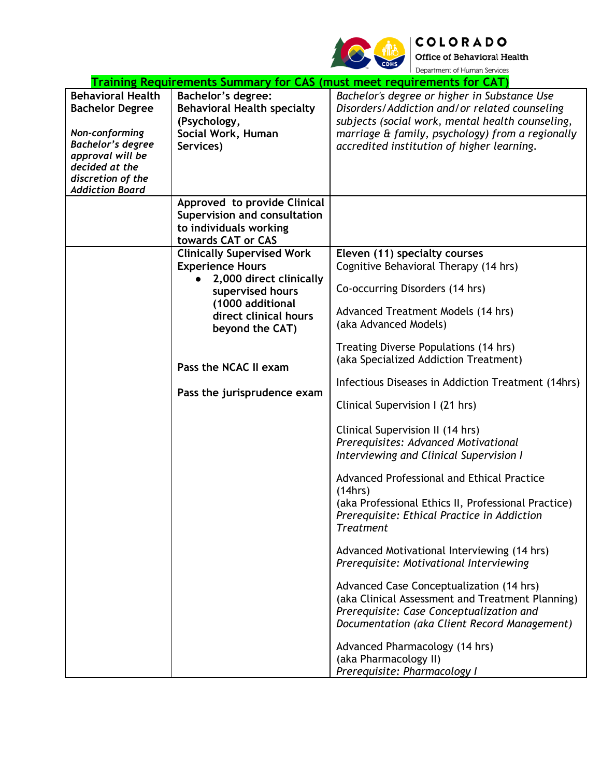

COLORADO<br>Office of Behavioral Health<br>Department of Human Services

| Training Requirements Summary for CAS (must meet requirements for CAT)                                                                                                                |                                                                                                                                                                                                                                     |                                                                                                                                                                                                                                                                                                                                                                                                                                                                                                                                                                                                                                                                                                                                                                                                                                                                                                                                                                                                                                                |  |
|---------------------------------------------------------------------------------------------------------------------------------------------------------------------------------------|-------------------------------------------------------------------------------------------------------------------------------------------------------------------------------------------------------------------------------------|------------------------------------------------------------------------------------------------------------------------------------------------------------------------------------------------------------------------------------------------------------------------------------------------------------------------------------------------------------------------------------------------------------------------------------------------------------------------------------------------------------------------------------------------------------------------------------------------------------------------------------------------------------------------------------------------------------------------------------------------------------------------------------------------------------------------------------------------------------------------------------------------------------------------------------------------------------------------------------------------------------------------------------------------|--|
| <b>Behavioral Health</b><br><b>Bachelor Degree</b><br>Non-conforming<br><b>Bachelor's degree</b><br>approval will be<br>decided at the<br>discretion of the<br><b>Addiction Board</b> | <b>Bachelor's degree:</b><br><b>Behavioral Health specialty</b><br>(Psychology,<br>Social Work, Human<br>Services)                                                                                                                  | Bachelor's degree or higher in Substance Use<br>Disorders/Addiction and/or related counseling<br>subjects (social work, mental health counseling,<br>marriage & family, psychology) from a regionally<br>accredited institution of higher learning.                                                                                                                                                                                                                                                                                                                                                                                                                                                                                                                                                                                                                                                                                                                                                                                            |  |
|                                                                                                                                                                                       | Approved to provide Clinical<br><b>Supervision and consultation</b><br>to individuals working<br>towards CAT or CAS                                                                                                                 |                                                                                                                                                                                                                                                                                                                                                                                                                                                                                                                                                                                                                                                                                                                                                                                                                                                                                                                                                                                                                                                |  |
|                                                                                                                                                                                       | <b>Clinically Supervised Work</b><br><b>Experience Hours</b><br>2,000 direct clinically<br>supervised hours<br>(1000 additional<br>direct clinical hours<br>beyond the CAT)<br>Pass the NCAC II exam<br>Pass the jurisprudence exam | Eleven (11) specialty courses<br>Cognitive Behavioral Therapy (14 hrs)<br>Co-occurring Disorders (14 hrs)<br>Advanced Treatment Models (14 hrs)<br>(aka Advanced Models)<br>Treating Diverse Populations (14 hrs)<br>(aka Specialized Addiction Treatment)<br>Infectious Diseases in Addiction Treatment (14hrs)<br>Clinical Supervision I (21 hrs)<br>Clinical Supervision II (14 hrs)<br>Prerequisites: Advanced Motivational<br>Interviewing and Clinical Supervision I<br>Advanced Professional and Ethical Practice<br>(14hrs)<br>(aka Professional Ethics II, Professional Practice)<br>Prerequisite: Ethical Practice in Addiction<br><b>Treatment</b><br>Advanced Motivational Interviewing (14 hrs)<br>Prerequisite: Motivational Interviewing<br>Advanced Case Conceptualization (14 hrs)<br>(aka Clinical Assessment and Treatment Planning)<br>Prerequisite: Case Conceptualization and<br>Documentation (aka Client Record Management)<br>Advanced Pharmacology (14 hrs)<br>(aka Pharmacology II)<br>Prerequisite: Pharmacology I |  |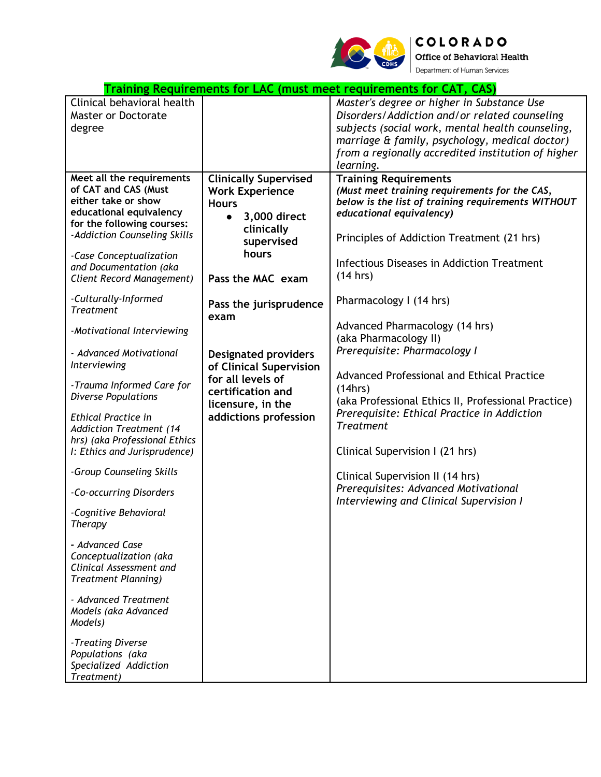

COLORADO Office of Behavioral Health Department of Human Services

| Clinical behavioral health<br>Master or Doctorate<br>degree                                                                                                                                                                                                                                                                                                                                                                                                                                                                                                                                                                                         | <b>Clinically Supervised</b>                                                                                                                                             | Master's degree or higher in Substance Use<br>Disorders/Addiction and/or related counseling<br>subjects (social work, mental health counseling,<br>marriage & family, psychology, medical doctor)<br>from a regionally accredited institution of higher<br>learning.                                                                                                                                                                                            |
|-----------------------------------------------------------------------------------------------------------------------------------------------------------------------------------------------------------------------------------------------------------------------------------------------------------------------------------------------------------------------------------------------------------------------------------------------------------------------------------------------------------------------------------------------------------------------------------------------------------------------------------------------------|--------------------------------------------------------------------------------------------------------------------------------------------------------------------------|-----------------------------------------------------------------------------------------------------------------------------------------------------------------------------------------------------------------------------------------------------------------------------------------------------------------------------------------------------------------------------------------------------------------------------------------------------------------|
| Meet all the requirements                                                                                                                                                                                                                                                                                                                                                                                                                                                                                                                                                                                                                           |                                                                                                                                                                          | <b>Training Requirements</b>                                                                                                                                                                                                                                                                                                                                                                                                                                    |
| of CAT and CAS (Must<br>either take or show<br><b>Hours</b><br>educational equivalency<br>$\bullet$<br>for the following courses:<br>-Addiction Counseling Skills<br>-Case Conceptualization<br>and Documentation (aka<br>Client Record Management)                                                                                                                                                                                                                                                                                                                                                                                                 | <b>Work Experience</b><br>3,000 direct<br>clinically<br>supervised<br>hours<br>Pass the MAC exam                                                                         | (Must meet training requirements for the CAS,<br>below is the list of training requirements WITHOUT<br>educational equivalency)<br>Principles of Addiction Treatment (21 hrs)<br>Infectious Diseases in Addiction Treatment<br>(14 hrs)                                                                                                                                                                                                                         |
| -Culturally-Informed<br><b>Treatment</b><br>exam<br>-Motivational Interviewing<br>- Advanced Motivational<br>Interviewing<br>-Trauma Informed Care for<br><b>Diverse Populations</b><br><b>Ethical Practice in</b><br><b>Addiction Treatment (14</b><br>hrs) (aka Professional Ethics<br>I: Ethics and Jurisprudence)<br>-Group Counseling Skills<br>-Co-occurring Disorders<br>-Cognitive Behavioral<br>Therapy<br>- Advanced Case<br>Conceptualization (aka<br>Clinical Assessment and<br><b>Treatment Planning)</b><br>- Advanced Treatment<br>Models (aka Advanced<br>Models)<br>-Treating Diverse<br>Populations (aka<br>Specialized Addiction | Pass the jurisprudence<br><b>Designated providers</b><br>of Clinical Supervision<br>for all levels of<br>certification and<br>licensure, in the<br>addictions profession | Pharmacology I (14 hrs)<br>Advanced Pharmacology (14 hrs)<br>(aka Pharmacology II)<br>Prerequisite: Pharmacology I<br>Advanced Professional and Ethical Practice<br>(14hrs)<br>(aka Professional Ethics II, Professional Practice)<br>Prerequisite: Ethical Practice in Addiction<br><b>Treatment</b><br>Clinical Supervision I (21 hrs)<br>Clinical Supervision II (14 hrs)<br>Prerequisites: Advanced Motivational<br>Interviewing and Clinical Supervision I |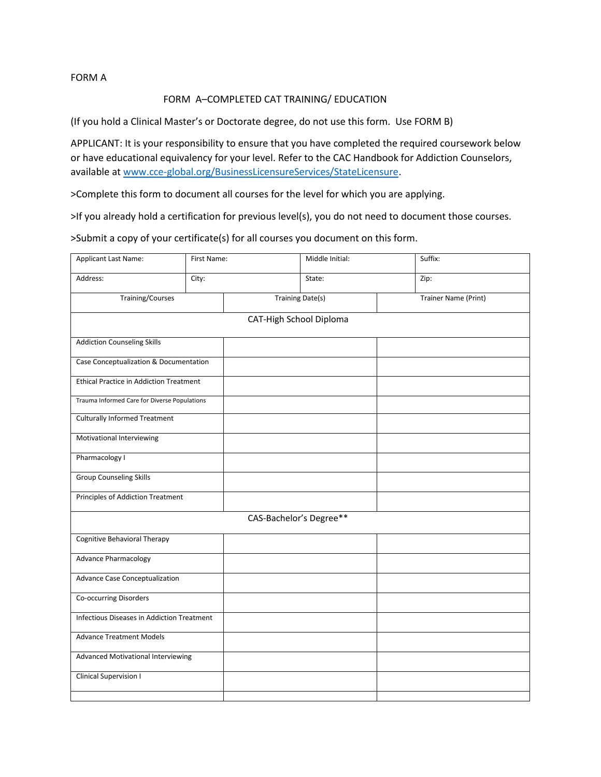FORM A

#### FORM A–COMPLETED CAT TRAINING/ EDUCATION

(If you hold a Clinical Master's or Doctorate degree, do not use this form. Use FORM B)

APPLICANT: It is your responsibility to ensure that you have completed the required coursework below or have educational equivalency for your level. Refer to the CAC Handbook for Addiction Counselors, available at www.cce-global.org/BusinessLicensureServices/StateLicensure.

>Complete this form to document all courses for the level for which you are applying.

>If you already hold a certification for previous level(s), you do not need to document those courses.

>Submit a copy of your certificate(s) for all courses you document on this form.

| Applicant Last Name:                           | First Name:                        | Middle Initial:         |  | Suffix:                     |  |  |
|------------------------------------------------|------------------------------------|-------------------------|--|-----------------------------|--|--|
| Address:                                       | City:                              | State:                  |  | Zip:                        |  |  |
| <b>Training/Courses</b>                        |                                    | <b>Training Date(s)</b> |  | <b>Trainer Name (Print)</b> |  |  |
|                                                | CAT-High School Diploma            |                         |  |                             |  |  |
| <b>Addiction Counseling Skills</b>             |                                    |                         |  |                             |  |  |
| Case Conceptualization & Documentation         |                                    |                         |  |                             |  |  |
| <b>Ethical Practice in Addiction Treatment</b> |                                    |                         |  |                             |  |  |
| Trauma Informed Care for Diverse Populations   |                                    |                         |  |                             |  |  |
| <b>Culturally Informed Treatment</b>           |                                    |                         |  |                             |  |  |
| Motivational Interviewing                      |                                    |                         |  |                             |  |  |
| Pharmacology I                                 |                                    |                         |  |                             |  |  |
| <b>Group Counseling Skills</b>                 |                                    |                         |  |                             |  |  |
| Principles of Addiction Treatment              |                                    |                         |  |                             |  |  |
| CAS-Bachelor's Degree**                        |                                    |                         |  |                             |  |  |
| <b>Cognitive Behavioral Therapy</b>            |                                    |                         |  |                             |  |  |
| <b>Advance Pharmacology</b>                    |                                    |                         |  |                             |  |  |
| Advance Case Conceptualization                 |                                    |                         |  |                             |  |  |
| Co-occurring Disorders                         |                                    |                         |  |                             |  |  |
| Infectious Diseases in Addiction Treatment     |                                    |                         |  |                             |  |  |
| <b>Advance Treatment Models</b>                |                                    |                         |  |                             |  |  |
|                                                | Advanced Motivational Interviewing |                         |  |                             |  |  |
| <b>Clinical Supervision I</b>                  |                                    |                         |  |                             |  |  |
|                                                |                                    |                         |  |                             |  |  |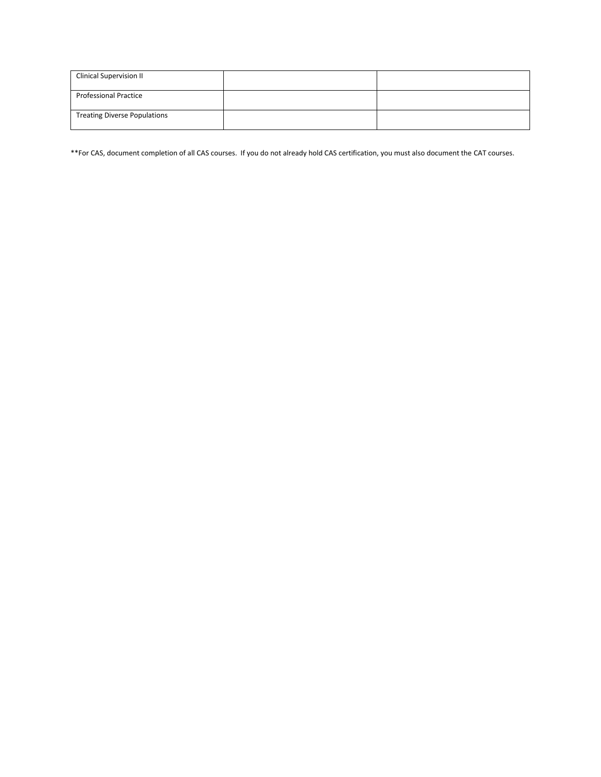| <b>Clinical Supervision II</b>      |  |
|-------------------------------------|--|
| <b>Professional Practice</b>        |  |
| <b>Treating Diverse Populations</b> |  |

\*\*For CAS, document completion of all CAS courses. If you do not already hold CAS certification, you must also document the CAT courses.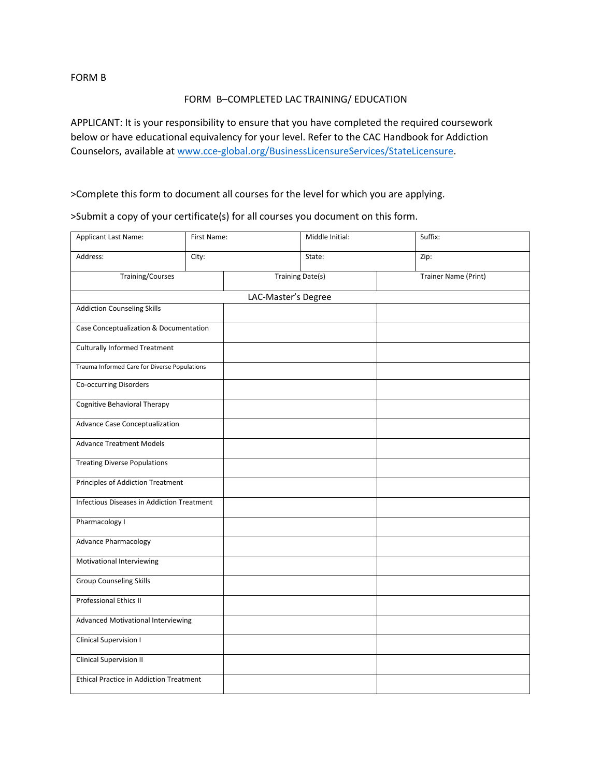FORM B

#### FORM B–COMPLETED LAC TRAINING/ EDUCATION

APPLICANT: It is your responsibility to ensure that you have completed the required coursework below or have educational equivalency for your level. Refer to the CAC Handbook for Addiction Counselors, available at www.cce-global.org/BusinessLicensureServices/StateLicensure.

>Complete this form to document all courses for the level for which you are applying.

>Submit a copy of your certificate(s) for all courses you document on this form.

| Applicant Last Name:                           | First Name: |                         | Middle Initial: | Suffix:              |  |
|------------------------------------------------|-------------|-------------------------|-----------------|----------------------|--|
| Address:                                       | City:       |                         | State:          | Zip:                 |  |
| <b>Training/Courses</b>                        |             | <b>Training Date(s)</b> |                 | Trainer Name (Print) |  |
|                                                |             | LAC-Master's Degree     |                 |                      |  |
| <b>Addiction Counseling Skills</b>             |             |                         |                 |                      |  |
| Case Conceptualization & Documentation         |             |                         |                 |                      |  |
| <b>Culturally Informed Treatment</b>           |             |                         |                 |                      |  |
| Trauma Informed Care for Diverse Populations   |             |                         |                 |                      |  |
| Co-occurring Disorders                         |             |                         |                 |                      |  |
| <b>Cognitive Behavioral Therapy</b>            |             |                         |                 |                      |  |
| Advance Case Conceptualization                 |             |                         |                 |                      |  |
| <b>Advance Treatment Models</b>                |             |                         |                 |                      |  |
| <b>Treating Diverse Populations</b>            |             |                         |                 |                      |  |
| Principles of Addiction Treatment              |             |                         |                 |                      |  |
| Infectious Diseases in Addiction Treatment     |             |                         |                 |                      |  |
| Pharmacology I                                 |             |                         |                 |                      |  |
| <b>Advance Pharmacology</b>                    |             |                         |                 |                      |  |
| Motivational Interviewing                      |             |                         |                 |                      |  |
| <b>Group Counseling Skills</b>                 |             |                         |                 |                      |  |
| Professional Ethics II                         |             |                         |                 |                      |  |
| <b>Advanced Motivational Interviewing</b>      |             |                         |                 |                      |  |
| Clinical Supervision I                         |             |                         |                 |                      |  |
| <b>Clinical Supervision II</b>                 |             |                         |                 |                      |  |
| <b>Ethical Practice in Addiction Treatment</b> |             |                         |                 |                      |  |